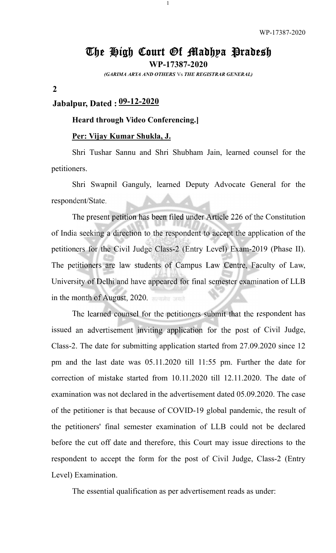## The High Court Of Madhya Pradesh

1

WP-17387-2020 *(GARIMA ARYA AND OTHERS* Vs *THE REGISTRAR GENERAL)*

#### 2

# Jabalpur, Dated : 09-12-2020

### Heard through Video Conferencing.]

### Per: Vijay Kumar Shukla, J.

Shri Tushar Sannu and Shri Shubham Jain, learned counsel for the petitioners.

Shri Swapnil Ganguly, learned Deputy Advocate General for the respondent/State.

The present petition has been filed under Article 226 of the Constitution of India seeking a direction to the respondent to accept the application of the petitioners for the Civil Judge Class-2 (Entry Level) Exam-2019 (Phase II). The petitioners are law students of Campus Law Centre, Faculty of Law, University of Delhi and have appeared for final semester examination of LLB in the month of August, 2020.

Class-2. The date for submitting application started from 27.09.2020 since 12 pm and the last date was 05.11.2020 till 11:55 pm. Further the date for correction of mistake started from 10.11.2020 till 12.11.2020. The date of examination was not declared in the advertisement dated 05.09.2020. The case of the petitioner is that because of COVID-19 global pandemic, the result of the petitioners' final semester examination of LLB could not be declared before the cut off date and therefore, this Court may issue directions to the respondent to accept the form for the post of Civil Judge, Class-2 (Entry Level) Examination. The learned counsel for the petitioners submit that the respondent has issued an advertisement inviting application for the post of Civil Judge,

The essential qualification as per advertisement reads as under: